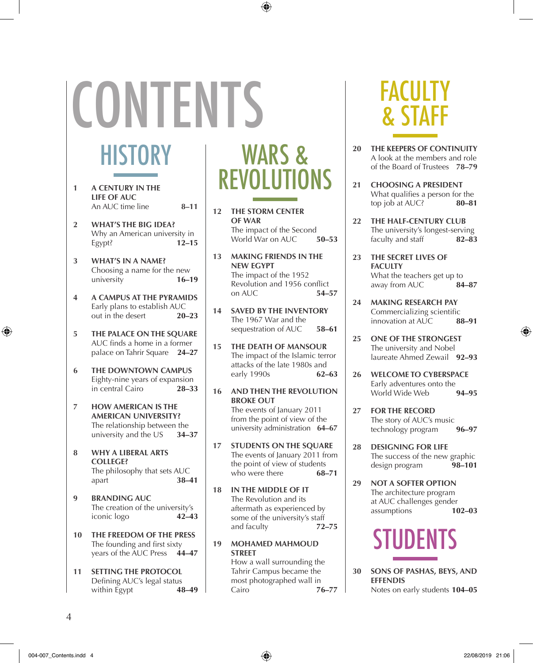# **CONTENTS**

#### **HISTORY**

- **1 A century in the life of auc** An AUC time line **8–11**
- **2 What's the Big Idea?**  Why an American university in<br>Fevot?  $12-15$ Egypt?
- **3 What's in a Name?** Choosing a name for the new university **16–19**
- **4 A Campus at the Pyramids** Early plans to establish AUC out in the desert **20–23**
- **5** THE PALACE ON THE SOUARE AUC finds a home in a former palace on Tahrir Square **24–27**
- **6 The Downtown Campus** Eighty-nine years of expansion<br>in central Cairo 28–33 in central Cairo
- **7 How American is the American University?** The relationship between the<br>university and the US  $34-37$ university and the US
- **8 Why a Liberal Arts College?** The philosophy that sets  $AUC$ <br>anart **38–41** apart
- **9 Branding AUC** The creation of the university's iconic logo **42–43**
- **10 The Freedom of the Press**  The founding and first sixty years of the AUC Press **44–47**
- **11 SETTING THE PROTOCOL** Defining AUC's legal status<br>within Egypt 48-49 within Egypt

#### WARS & REVOLUTIONS

- **12 The Storm Center of War** The impact of the Second<br>World War on AUC 50-53 World War on AUC
- **13 Making Friends in the New Egypt** The impact of the 1952 Revolution and 1956 conflict<br>on AUC 54–57 on  $AI/C$
- **14 Saved by the Inventory**  The 1967 War and the sequestration of AUC **58–61**
- **15 The Death of Mansour** The impact of the Islamic terror attacks of the late 1980s and<br>early 1990s  $62-63$ early 1990s
- **16 And Then the Revolution Broke Out**  The events of January 2011 from the point of view of the university administration **64–67**
- **17 Students on the Square** The events of January 2011 from the point of view of students<br>who were there  $68-71$ who were there
- **18 In the Middle of It** The Revolution and its aftermath as experienced by some of the university's staff and faculty **72–75**
- **19 Mohamed Mahmoud Street** How a wall surrounding the Tahrir Campus became the most photographed wall in<br>Cairo 7



**FACULTY** & STAFF

- **20 The Keepers of Continuity** A look at the members and role of the Board of Trustees **78–79**
- **21 Choosing a President** What qualifies a person for the top job at AUC? **80–81**
- **22 The Half-Century Club** The university's longest-serving faculty and staff **82–83**
- **23 The Secret Lives of Fa culty** What the teachers get up to<br>away from ALIC  $84-87$ away from AUC
- **24 MAKING RESEARCH PAY**  Commercializing scientific innovation at AUC **88–91**
- **25 One of the Strongest** The university and Nobel laureate Ahmed Zewail **92–93**
- **26 Welcome to Cyberspace** Early adventures onto the<br>World Wide Web **94-95** World Wide Web
- **27 for the Record** The story of AUC's music technology program **96–97**
- **28 Designing for Life** The success of the new graphic design program **98–101**
- **29 not a softer option** The architecture program at AUC challenges gender assumptions **102–03**



**30 Sons of Pashas, BEYS, AND EFFENDIS** Notes on early students **104–05**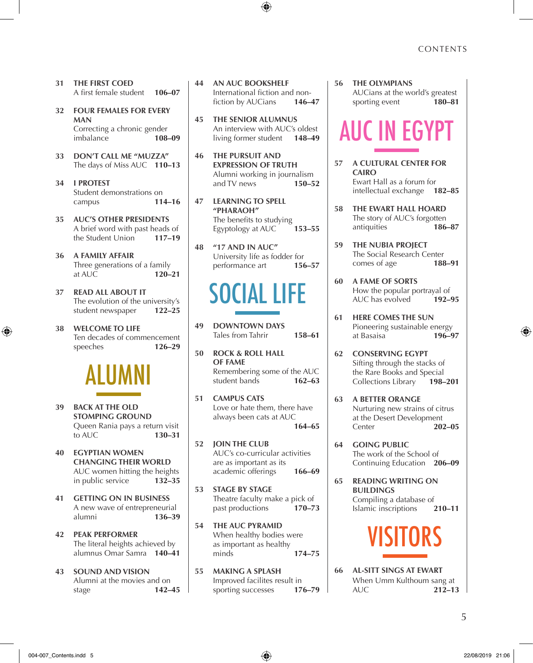- **31 The First Coed** A first female student **106–07**
- **32 Four females foR every Man** Correcting a chronic gender<br>
imbalance<br> **108-09 imbalance**
- **33 Don't Call Me "MUZZA"** The days of Miss AUC **110–13**
- **34 I Protest** Student demonstrations on<br>
campus
114–16 campus
- **35 AUC's other presidents** A brief word with past heads of the Student Union **117–19**
- **36 A Fa mily Affair** Three generations of a family<br>at AUC **120–21** at AUC
- **37 Read All About It** The evolution of the university's student newspaper **122–25**
- **38 Welcome to Life** Ten decades of commencement<br>speeches 126–29 speeches



- **39 Back at the old stomping ground** Queen Rania pays a return visit<br>to AUC 130-31 to AUC
- **40 egyptian women changing their World** AUC women hitting the heights in public service **132–35**
- **41 getting on in business** A new wave of entrepreneurial<br>alumni 136–39 alumni **136–39**
- **42 peak performer**  The literal heights achieved by alumnus Omar Samra **140–41**
- **43 sound and vision** Alumni at the movies and on stage **142–45**
- **44 An AUC Bookshelf** International fiction and non-<br>fiction by AUCians 146-47 fiction by AUCians
- **45 The Senior Alumnus** An interview with AUC's oldest living former student **148–49**
- **46 The pursuit and expression of truth** Alumni working in journalism and TV news **150–52**
- **47 learning to spell "pharaoh"** The benefits to studying Egyptology at AUC **153–55**
- **48 "17 and In AUC"** University life as fodder for performance art **156–57**

### SOCIAL LIFE

- **49 Downtown days** Tales from Tahrir **158–61**
- **50 Rock & Roll Hall of Fame** Remembering some of the AUC<br>student bands **162–63** student bands
- **51 Campus Cats** Love or hate them, there have always been cats at AUC **164–65**
- **52 join the club** AUC's co-curricular activities are as important as its academic offerings **166–69**
- **53 stage by stage** Theatre faculty make a pick of<br>past productions **170–73** past productions
- **54 The AUC Pyramid** When healthy bodies were as important as healthy minds **174–75**
- **55 making a splash** Improved facilites result in<br>sporting successes 176–79 sporting successes

**56 The Olympians** AUCians at the world's greatest<br>sporting event 180-81 sporting event

# auc in egypt

- **57 A Cultural Center for Ca iro** Ewart Hall as a forum for intellectual exchange **182–85**
- **58 The Ewart Hall Hoard** The story of AUC's forgotten antiquities **186–87**
- **59 The Nubia Project** The Social Research Center<br>comes of age 188-91 comes of age
- **60 A Fame of Sorts** How the popular portrayal of<br>ALIC has evolved  $192-95$ AUC has evolved
- **61 Here Comes the Sun** Pioneering sustainable energy at Basaisa **196–97**
- **62 conserving Egypt** Sifting through the stacks of the Rare Books and Special Collections Library **198–201**
- **63 a better orange** Nurturing new strains of citrus at the Desert Development Center **202–05**
- **64 going public** The work of the School of Continuing Education **206–09**
- **65 reading writing on buildings** Compiling a database of Islamic inscriptions **210–11**



**66 Al-Sitt Sings at Ewart** When Umm Kulthoum sang at<br>AUC 212-13 AUC **212–13**